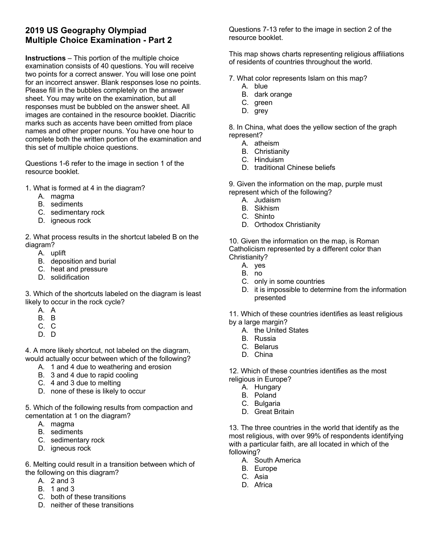## **2019 US Geography Olympiad Multiple Choice Examination - Part 2**

**Instructions** – This portion of the multiple choice examination consists of 40 questions. You will receive two points for a correct answer. You will lose one point for an incorrect answer. Blank responses lose no points. Please fill in the bubbles completely on the answer sheet. You may write on the examination, but all responses must be bubbled on the answer sheet. All images are contained in the resource booklet. Diacritic marks such as accents have been omitted from place names and other proper nouns. You have one hour to complete both the written portion of the examination and this set of multiple choice questions.

Questions 1-6 refer to the image in section 1 of the resource booklet.

- 1. What is formed at 4 in the diagram?
	- A. magma
	- B. sediments
	- C. sedimentary rock
	- D. igneous rock

2. What process results in the shortcut labeled B on the diagram?

- A. uplift
- B. deposition and burial
- C. heat and pressure
- D. solidification

3. Which of the shortcuts labeled on the diagram is least likely to occur in the rock cycle?

- A. A
- B. B
- C. C
- D. D

4. A more likely shortcut, not labeled on the diagram, would actually occur between which of the following?

- A. 1 and 4 due to weathering and erosion
- B. 3 and 4 due to rapid cooling
- C. 4 and 3 due to melting
- D. none of these is likely to occur

5. Which of the following results from compaction and cementation at 1 on the diagram?

- A. magma
- B. sediments
- C. sedimentary rock
- D. igneous rock

6. Melting could result in a transition between which of the following on this diagram?

- A. 2 and 3
- B. 1 and 3
- C. both of these transitions
- D. neither of these transitions

Questions 7-13 refer to the image in section 2 of the resource booklet.

This map shows charts representing religious affiliations of residents of countries throughout the world.

7. What color represents Islam on this map?

- A. blue
- B. dark orange
- C. green
- D. grey

8. In China, what does the yellow section of the graph represent?

- A. atheism
- B. Christianity
- C. Hinduism
- D. traditional Chinese beliefs

9. Given the information on the map, purple must represent which of the following?

- A. Judaism
- B. Sikhism
- C. Shinto
- D. Orthodox Christianity

10. Given the information on the map, is Roman Catholicism represented by a different color than Christianity?

- A. yes
- B. no
- C. only in some countries
- D. it is impossible to determine from the information presented
- 11. Which of these countries identifies as least religious by a large margin?
	- A. the United States
	- B. Russia
	- C. Belarus
	- D. China

12. Which of these countries identifies as the most religious in Europe?

- A. Hungary
- B. Poland
- C. Bulgaria
- D. Great Britain

13. The three countries in the world that identify as the most religious, with over 99% of respondents identifying with a particular faith, are all located in which of the following?

- A. South America
- B. Europe
- C. Asia
- D. Africa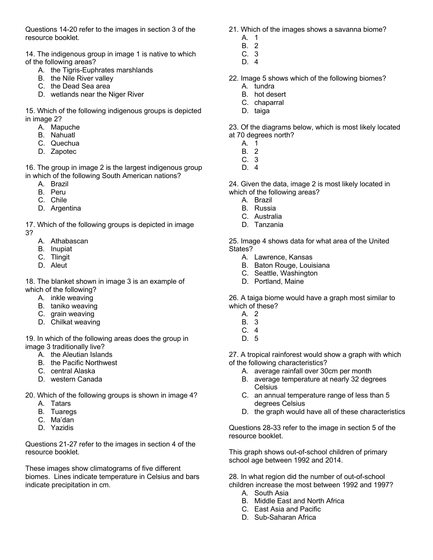Questions 14-20 refer to the images in section 3 of the resource booklet.

14. The indigenous group in image 1 is native to which of the following areas?

- A. the Tigris-Euphrates marshlands
- B. the Nile River valley
- C. the Dead Sea area
- D. wetlands near the Niger River

15. Which of the following indigenous groups is depicted in image 2?

- A. Mapuche
- B. Nahuatl
- C. Quechua
- D. Zapotec

16. The group in image 2 is the largest indigenous group in which of the following South American nations?

- A. Brazil
- B. Peru
- C. Chile
- D. Argentina

17. Which of the following groups is depicted in image

- 3?
	- A. Athabascan
	- B. Inupiat
	- C. Tlingit
	- D. Aleut

18. The blanket shown in image 3 is an example of which of the following?

- A. inkle weaving
- B. taniko weaving
- C. grain weaving
- D. Chilkat weaving

19. In which of the following areas does the group in image 3 traditionally live?

- A. the Aleutian Islands
- B. the Pacific Northwest
- C. central Alaska
- D. western Canada
- 20. Which of the following groups is shown in image 4?
	- A. Tatars
	- B. Tuaregs
	- C. Ma'dan
	- D. Yazidis

Questions 21-27 refer to the images in section 4 of the resource booklet.

These images show climatograms of five different biomes. Lines indicate temperature in Celsius and bars indicate precipitation in cm.

- 21. Which of the images shows a savanna biome?
	- A. 1
	- B. 2 C. 3
	- D. 4
- 22. Image 5 shows which of the following biomes?
	- A. tundra
	- B. hot desert
	- C. chaparral
	- D. taiga

23. Of the diagrams below, which is most likely located at 70 degrees north?

- A. 1
- B. 2
- C. 3
- D. 4

24. Given the data, image 2 is most likely located in which of the following areas?

- A. Brazil
- B. Russia
- C. Australia
- D. Tanzania

25. Image 4 shows data for what area of the United States?

- A. Lawrence, Kansas
- B. Baton Rouge, Louisiana
- C. Seattle, Washington
- D. Portland, Maine

26. A taiga biome would have a graph most similar to which of these?

- A. 2
- B. 3
- C. 4
- D. 5

27. A tropical rainforest would show a graph with which of the following characteristics?

- A. average rainfall over 30cm per month
- B. average temperature at nearly 32 degrees Celsius
- C. an annual temperature range of less than 5 degrees Celsius
- D. the graph would have all of these characteristics

Questions 28-33 refer to the image in section 5 of the resource booklet.

This graph shows out-of-school children of primary school age between 1992 and 2014.

28. In what region did the number of out-of-school children increase the most between 1992 and 1997?

- A. South Asia
- B. Middle East and North Africa
- C. East Asia and Pacific
- D. Sub-Saharan Africa